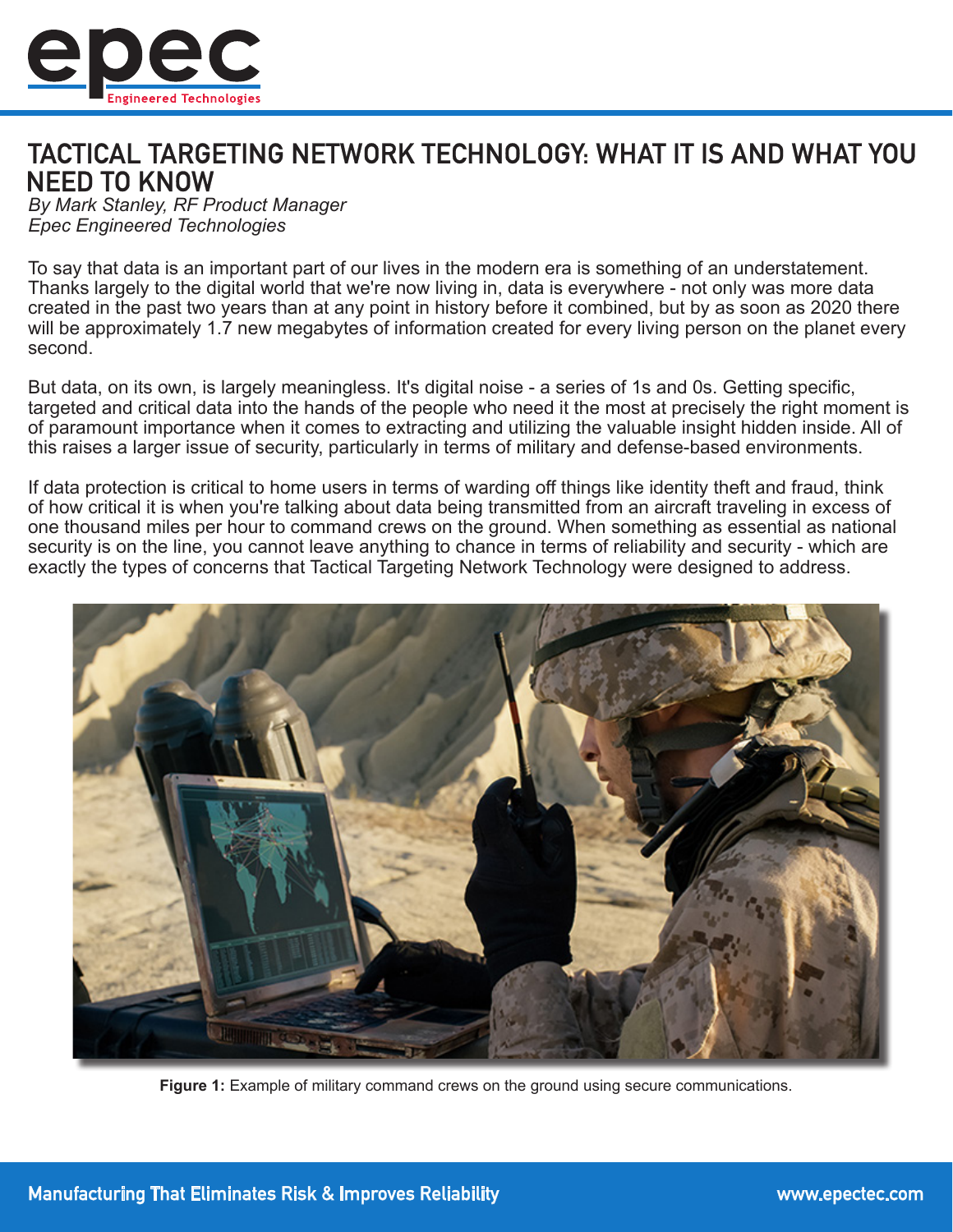

## TACTICAL TARGETING NETWORK TECHNOLOGY: WHAT IT IS AND WHAT YOU **NEED TO KNOW**

*By Mark Stanley, RF Product Manager Epec Engineered Technologies*

To say that data is an important part of our lives in the modern era is something of an understatement. Thanks largely to the digital world that we're now living in, data is everywhere - not only was more data created in the past two years than at any point in history before it combined, but by as soon as 2020 there will be approximately 1.7 new megabytes of information created for every living person on the planet every second.

But data, on its own, is largely meaningless. It's digital noise - a series of 1s and 0s. Getting specific, targeted and critical data into the hands of the people who need it the most at precisely the right moment is of paramount importance when it comes to extracting and utilizing the valuable insight hidden inside. All of this raises a larger issue of security, particularly in terms of military and defense-based environments.

If data protection is critical to home users in terms of warding off things like identity theft and fraud, think of how critical it is when you're talking about data being transmitted from an aircraft traveling in excess of one thousand miles per hour to command crews on the ground. When something as essential as national security is on the line, you cannot leave anything to chance in terms of reliability and security - which are exactly the types of concerns that Tactical Targeting Network Technology were designed to address.



**Figure 1:** Example of military command crews on the ground using secure communications.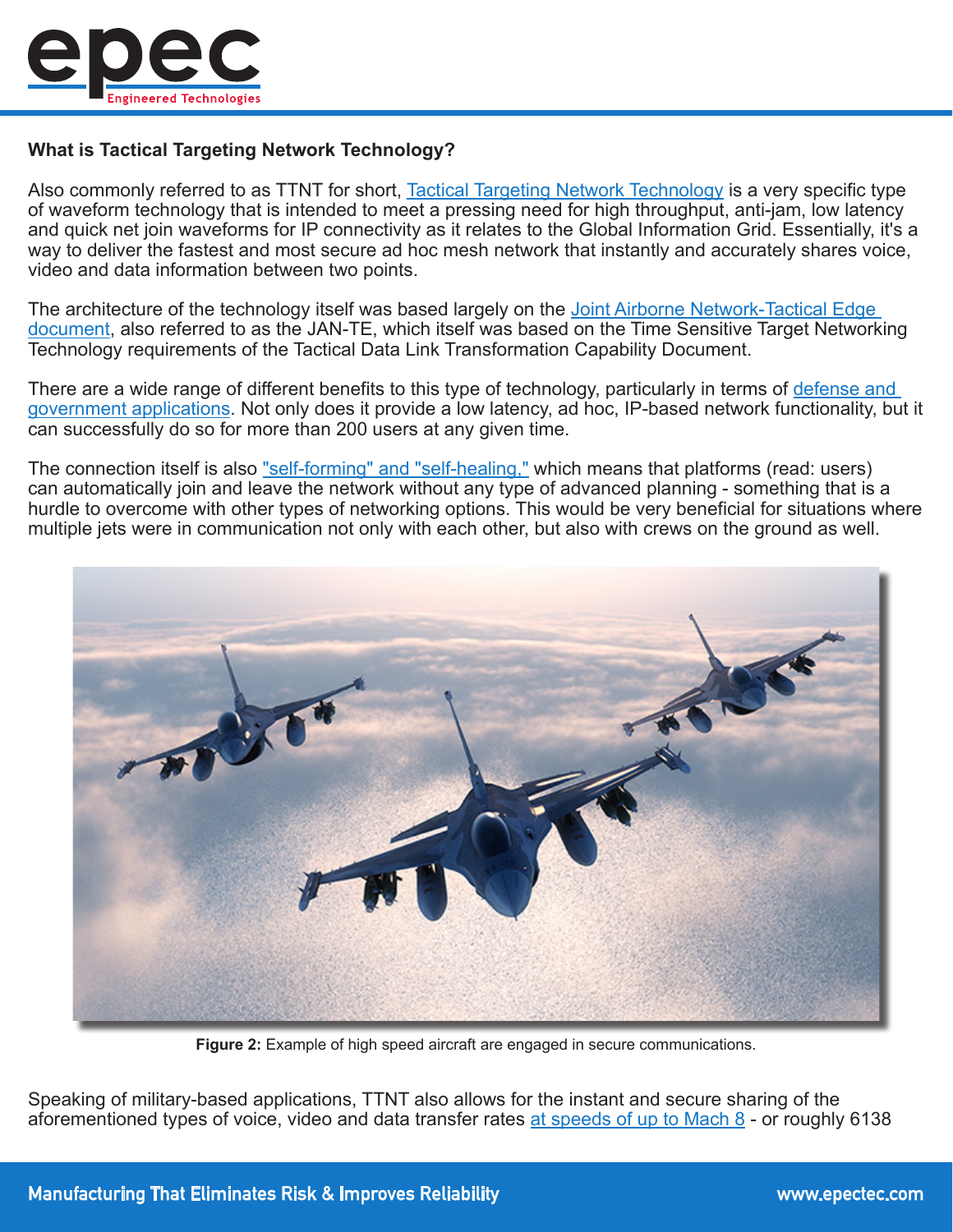

## **What is Tactical Targeting Network Technology?**

Also commonly referred to as TTNT for short, [Tactical Targeting Network Technology](http://www.sldinfo.com/wp-content/uploads/2009/11/TTNTWhitePaper.pdf) is a very specific type of waveform technology that is intended to meet a pressing need for high throughput, anti-jam, low latency and quick net join waveforms for IP connectivity as it relates to the Global Information Grid. Essentially, it's a way to deliver the fastest and most secure ad hoc mesh network that instantly and accurately shares voice, video and data information between two points.

The architecture of the technology itself was based largely on the Joint Airborne Network-Tactical Edge [document,](http://idlsoc.com/Documents/Symposiums/IDLS2009/Day2/D2_MAIN_US_TDES_Migration_Panel_Moderator_David_Nark_Narkevicius_OASD(NII).pdf) also referred to as the JAN-TE, which itself was based on the Time Sensitive Target Networking Technology requirements of the Tactical Data Link Transformation Capability Document.

There are a wide range of different benefits to this type of technology, particularly in terms of defense and [government applications](http://www.epectec.com/about/industry/military-aerospace.html). Not only does it provide a low latency, ad hoc, IP-based network functionality, but it can successfully do so for more than 200 users at any given time.

The connection itself is also ["self-forming" and "self-healing,"](https://www.rockwellcollins.com/Products_and_Services/Defense/Communications/Tactical_Data_Links/Tactical_Targeting_Network_Technology.aspx) which means that platforms (read: users) can automatically join and leave the network without any type of advanced planning - something that is a hurdle to overcome with other types of networking options. This would be very beneficial for situations where multiple jets were in communication not only with each other, but also with crews on the ground as well.



**Figure 2:** Example of high speed aircraft are engaged in secure communications.

Speaking of military-based applications, TTNT also allows for the instant and secure sharing of the aforementioned types of voice, video and data transfer rates [at speeds of up to Mach 8](https://www.grc.nasa.gov/www/k-12/airplane/mach.html) - or roughly 6138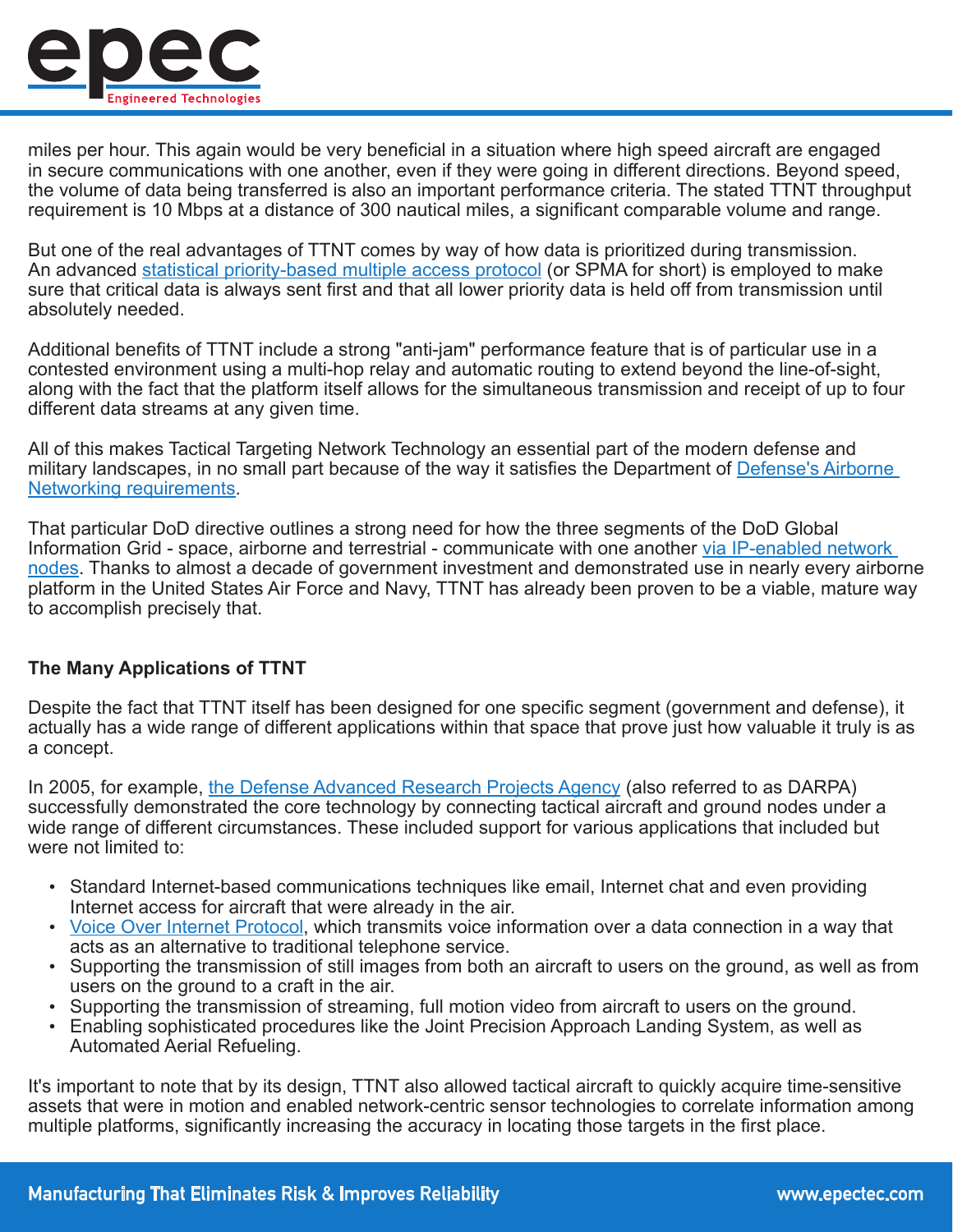

miles per hour. This again would be very beneficial in a situation where high speed aircraft are engaged in secure communications with one another, even if they were going in different directions. Beyond speed, the volume of data being transferred is also an important performance criteria. The stated TTNT throughput requirement is 10 Mbps at a distance of 300 nautical miles, a significant comparable volume and range.

But one of the real advantages of TTNT comes by way of how data is prioritized during transmission. An advanced [statistical priority-based multiple access protocol](http://ieeexplore.ieee.org/document/7925062/?reload=true) (or SPMA for short) is employed to make sure that critical data is always sent first and that all lower priority data is held off from transmission until absolutely needed.

Additional benefits of TTNT include a strong "anti-jam" performance feature that is of particular use in a contested environment using a multi-hop relay and automatic routing to extend beyond the line-of-sight, along with the fact that the platform itself allows for the simultaneous transmission and receipt of up to four different data streams at any given time.

All of this makes Tactical Targeting Network Technology an essential part of the modern defense and military landscapes, in no small part because of the way it satisfies the Department of Defense's Airborne [Networking requirements](https://www.mitre.org/sites/default/files/pdf/07_0746.pdf).

That particular DoD directive outlines a strong need for how the three segments of the DoD Global Information Grid - space, airborne and terrestrial - communicate with one another [via IP-enabled network](https://www.mitre.org/sites/default/files/pdf/07_0746.pdf)  [nodes.](https://www.mitre.org/sites/default/files/pdf/07_0746.pdf) Thanks to almost a decade of government investment and demonstrated use in nearly every airborne platform in the United States Air Force and Navy, TTNT has already been proven to be a viable, mature way to accomplish precisely that.

## **The Many Applications of TTNT**

Despite the fact that TTNT itself has been designed for one specific segment (government and defense), it actually has a wide range of different applications within that space that prove just how valuable it truly is as a concept.

In 2005, for example, [the Defense Advanced Research Projects Agency](http://www.defense-aerospace.com/article-view/release/63921/darpa-demos-tactical-targeting-network-(oct-25).html) (also referred to as DARPA) successfully demonstrated the core technology by connecting tactical aircraft and ground nodes under a wide range of different circumstances. These included support for various applications that included but were not limited to:

- Standard Internet-based communications techniques like email, Internet chat and even providing Internet access for aircraft that were already in the air.
- [Voice Over Internet Protocol](https://computer.howstuffworks.com/ip-telephony.htm), which transmits voice information over a data connection in a way that acts as an alternative to traditional telephone service.
- Supporting the transmission of still images from both an aircraft to users on the ground, as well as from users on the ground to a craft in the air.
- Supporting the transmission of streaming, full motion video from aircraft to users on the ground.
- Enabling sophisticated procedures like the Joint Precision Approach Landing System, as well as Automated Aerial Refueling.

It's important to note that by its design, TTNT also allowed tactical aircraft to quickly acquire time-sensitive assets that were in motion and enabled network-centric sensor technologies to correlate information among multiple platforms, significantly increasing the accuracy in locating those targets in the first place.